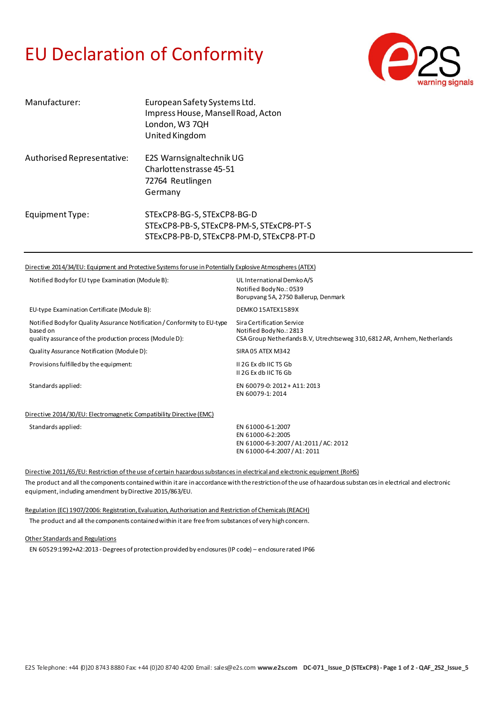## EU Declaration of Conformity



| Manufacturer:              | European Safety Systems Ltd.<br>Impress House, Mansell Road, Acton<br>London, W3 7QH<br>United Kingdom             |
|----------------------------|--------------------------------------------------------------------------------------------------------------------|
| Authorised Representative: | E2S Warnsignaltechnik UG<br>Charlottenstrasse 45-51<br>72764 Reutlingen<br>Germany                                 |
| Equipment Type:            | STExCP8-BG-S, STExCP8-BG-D<br>STExCP8-PB-S, STExCP8-PM-S, STExCP8-PT-S<br>STExCP8-PB-D, STExCP8-PM-D, STExCP8-PT-D |

## Directive 2014/34/EU: Equipment and Protective Systems for use in Potentially Explosive Atmospheres (ATEX)

| Notified Body for EU type Examination (Module B):                                                                                               | UL International Demko A/S<br>Notified Body No.: 0539<br>Borupvang 5A, 2750 Ballerup, Denmark                                      |
|-------------------------------------------------------------------------------------------------------------------------------------------------|------------------------------------------------------------------------------------------------------------------------------------|
| EU-type Examination Certificate (Module B):                                                                                                     | DEMKO 15ATEX1589X                                                                                                                  |
| Notified Body for Quality Assurance Notification / Conformity to EU-type<br>based on<br>quality assurance of the production process (Module D): | Sira Certification Service<br>Notified Body No.: 2813<br>CSA Group Netherlands B.V, Utrechtseweg 310, 6812 AR, Arnhem, Netherlands |
| Quality Assurance Notification (Module D):                                                                                                      | SIRA 05 ATEX M342                                                                                                                  |
| Provisions fulfilled by the equipment:                                                                                                          | II 2G Ex db IIC T5 Gb<br>II 2G Ex db IIC T6 Gb                                                                                     |
| Standards applied:                                                                                                                              | EN 60079-0: 2012 + A11: 2013<br>EN 60079-1: 2014                                                                                   |
| Directive 2014/30/EU: Electromagnetic Compatibility Directive (EMC)                                                                             |                                                                                                                                    |
| Standards applied:                                                                                                                              | EN 61000-6-1:2007<br>EN 61000-6-2:2005<br>EN 61000-6-3:2007 / A1:2011 / AC: 2012<br>EN 61000-6-4:2007 / A1: 2011                   |

Directive 2011/65/EU: Restriction of the use of certain hazardous substances in electrical and electronic equipment (RoHS) The product and all the components contained within it are in accordance with the restriction of the use of hazardous substances in electrical and electronic equipment, including amendment by Directive 2015/863/EU.

Regulation (EC) 1907/2006: Registration, Evaluation, Authorisation and Restriction of Chemicals (REACH)

The product and all the components contained within it are free from substances of very high concern.

Other Standards and Regulations

EN 60529:1992+A2:2013 -Degrees of protection provided by enclosures (IP code) – enclosure rated IP66